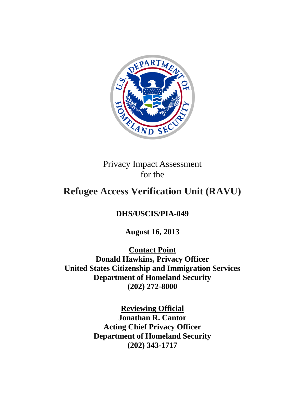

Privacy Impact Assessment for the

# **Refugee Access Verification Unit (RAVU)**

## **DHS/USCIS/PIA-049**

**August 16, 2013** 

**Contact Point Donald Hawkins, Privacy Officer United States Citizenship and Immigration Services Department of Homeland Security (202) 272-8000**

> **Reviewing Official Jonathan R. Cantor Acting Chief Privacy Officer Department of Homeland Security (202) 343-1717**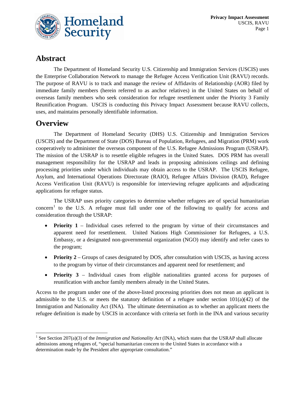

## **Abstract**

The Department of Homeland Security U.S. Citizenship and Immigration Services (USCIS) uses the Enterprise Collaboration Network to manage the Refugee Access Verification Unit (RAVU) records. The purpose of RAVU is to track and manage the review of Affidavits of Relationship (AOR) filed by immediate family members (herein referred to as anchor relatives) in the United States on behalf of overseas family members who seek consideration for refugee resettlement under the Priority 3 Family Reunification Program. USCIS is conducting this Privacy Impact Assessment because RAVU collects, uses, and maintains personally identifiable information.

## **Overview**

The Department of Homeland Security (DHS) U.S. Citizenship and Immigration Services (USCIS) and the Department of State (DOS) Bureau of Population, Refugees, and Migration (PRM) work cooperatively to administer the overseas component of the U.S. Refugee Admissions Program (USRAP). The mission of the USRAP is to resettle eligible refugees in the United States. DOS PRM has overall management responsibility for the USRAP and leads in proposing admissions ceilings and defining processing priorities under which individuals may obtain access to the USRAP. The USCIS Refugee, Asylum, and International Operations Directorate (RAIO), Refugee Affairs Division (RAD), Refugee Access Verification Unit (RAVU) is responsible for interviewing refugee applicants and adjudicating applications for refugee status.

The USRAP uses priority categories to determine whether refugees are of special humanitarian  $concern<sup>1</sup>$  $concern<sup>1</sup>$  $concern<sup>1</sup>$  to the U.S. A refugee must fall under one of the following to qualify for access and consideration through the USRAP:

- **Priority 1** Individual cases referred to the program by virtue of their circumstances and apparent need for resettlement. United Nations High Commissioner for Refugees, a U.S. Embassy, or a designated non-governmental organization (NGO) may identify and refer cases to the program;
- **Priority 2** Groups of cases designated by DOS, after consultation with USCIS, as having access to the program by virtue of their circumstances and apparent need for resettlement; and
- **Priority 3** Individual cases from eligible nationalities granted access for purposes of reunification with anchor family members already in the United States.

Access to the program under one of the above-listed processing priorities does not mean an applicant is admissible to the U.S. or meets the statutory definition of a refugee under section  $101(a)(42)$  of the Immigration and Nationality Act (INA). The ultimate determination as to whether an applicant meets the refugee definition is made by USCIS in accordance with criteria set forth in the INA and various security

<span id="page-1-0"></span> <sup>1</sup> See Section 207(a)(3) of the *Immigration and Nationality Act* (INA), which states that the USRAP shall allocate admissions among refugees of, "special humanitarian concern to the United States in accordance with a determination made by the President after appropriate consultation."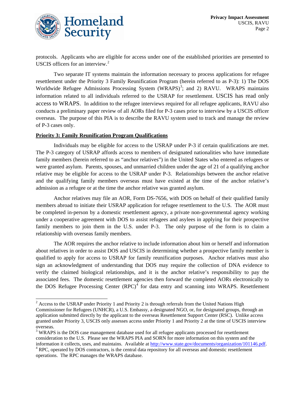

protocols. Applicants who are eligible for access under one of the established priorities are presented to USCIS officers for an interview.<sup>[2](#page-2-0)</sup>

Two separate IT systems maintain the information necessary to process applications for refugee resettlement under the Priority 3 Family Reunification Program (herein referred to as P-3): 1) The DOS Worldwide Refugee Admissions Processing System (WRAPS)<sup>[3](#page-2-1)</sup>; and 2) RAVU. WRAPS maintains information related to all individuals referred to the USRAP for resettlement. USCIS has read only access to WRAPS. In addition to the refugee interviews required for all refugee applicants, RAVU also conducts a preliminary paper review of all AORs filed for P-3 cases prior to interview by a USCIS officer overseas. The purpose of this PIA is to describe the RAVU system used to track and manage the review of P-3 cases only.

#### **Priority 3: Family Reunification Program Qualifications**

Individuals may be eligible for access to the USRAP under P-3 if certain qualifications are met. The P-3 category of USRAP affords access to members of designated nationalities who have immediate family members (herein referred to as "anchor relatives") in the United States who entered as refugees or were granted asylum. Parents, spouses, and unmarried children under the age of 21 of a qualifying anchor relative may be eligible for access to the USRAP under P-3. Relationships between the anchor relative and the qualifying family members overseas must have existed at the time of the anchor relative's admission as a refugee or at the time the anchor relative was granted asylum.

Anchor relatives may file an AOR, Form DS-7656, with DOS on behalf of their qualified family members abroad to initiate their USRAP application for refugee resettlement to the U.S. The AOR must be completed in-person by a domestic resettlement agency, a private non-governmental agency working under a cooperative agreement with DOS to assist refugees and asylees in applying for their prospective family members to join them in the U.S. under P-3. The only purpose of the form is to claim a relationship with overseas family members.

The AOR requires the anchor relative to include information about him or herself and information about relatives in order to assist DOS and USCIS in determining whether a prospective family member is qualified to apply for access to USRAP for family reunification purposes. Anchor relatives must also sign an acknowledgment of understanding that DOS may require the collection of DNA evidence to verify the claimed biological relationships, and it is the anchor relative's responsibility to pay the associated fees. The domestic resettlement agencies then forward the completed AORs electronically to the DOS Refugee Processing Center  $(RPC)^4$  $(RPC)^4$  for data entry and scanning into WRAPS. Resettlement

<span id="page-2-0"></span> $2$  Access to the USRAP under Priority 1 and Priority 2 is through referrals from the United Nations High Commissioner for Refugees (UNHCR), a U.S. Embassy, a designated NGO, or, for designated groups, through an application submitted directly by the applicant to the overseas Resettlement Support Center (RSC). Unlike access granted under Priority 3, USCIS only assesses access under Priority 1 and Priority 2 at the time of USCIS interview <sup>3</sup> WRAPS is the DOS case management database used for all refugee applicants processed for resettlement

<span id="page-2-1"></span>consideration to the U.S. Please see the WRAPS PIA and SORN for more information on this system and the information it collects, uses, and maintains. Available at http://www.state.gov/documents/organization/101146.pdf.

<span id="page-2-2"></span> $\rm{^4}$  RPC, operated by DOS contractors, is the central data repository for all overseas and domestic resettlement operations. The RPC manages the WRAPS database.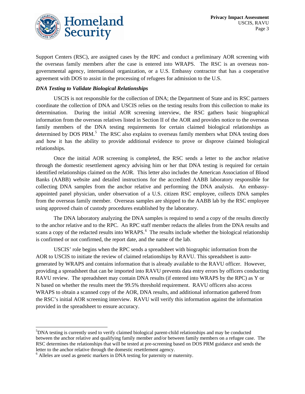

Support Centers (RSC), are assigned cases by the RPC and conduct a preliminary AOR screening with the overseas family members after the case is entered into WRAPS. The RSC is an overseas nongovernmental agency, international organization, or a U.S. Embassy contractor that has a cooperative agreement with DOS to assist in the processing of refugees for admission to the U.S.

#### *DNA Testing to Validate Biological Relationships*

USCIS is not responsible for the collection of DNA; the Department of State and its RSC partners coordinate the collection of DNA and USCIS relies on the testing results from this collection to make its determination. During the initial AOR screening interview, the RSC gathers basic biographical information from the overseas relatives listed in Section II of the AOR and provides notice to the overseas family members of the DNA testing requirements for certain claimed biological relationships as determined by DOS PRM.<sup>[5](#page-3-0)</sup> The RSC also explains to overseas family members what DNA testing does and how it has the ability to provide additional evidence to prove or disprove claimed biological relationships.

Once the initial AOR screening is completed, the RSC sends a letter to the anchor relative through the domestic resettlement agency advising him or her that DNA testing is required for certain identified relationships claimed on the AOR. This letter also includes the American Association of Blood Banks (AABB) website and detailed instructions for the accredited AABB laboratory responsible for collecting DNA samples from the anchor relative and performing the DNA analysis. An embassyappointed panel physician, under observation of a U.S. citizen RSC employee, collects DNA samples from the overseas family member. Overseas samples are shipped to the AABB lab by the RSC employee using approved chain of custody procedures established by the laboratory.

The DNA laboratory analyzing the DNA samples is required to send a copy of the results directly to the anchor relative and to the RPC. An RPC staff member redacts the alleles from the DNA results and scans a copy of the redacted results into WRAPS.<sup>[6](#page-3-1)</sup> The results include whether the biological relationship is confirmed or not confirmed, the report date, and the name of the lab.

USCIS' role begins when the RPC sends a spreadsheet with biographic information from the AOR to USCIS to initiate the review of claimed relationships by RAVU. This spreadsheet is autogenerated by WRAPS and contains information that is already available to the RAVU officer. However, providing a spreadsheet that can be imported into RAVU prevents data entry errors by officers conducting RAVU review. The spreadsheet may contain DNA results (if entered into WRAPS by the RPC) as Y or N based on whether the results meet the 99.5% threshold requirement. RAVU officers also access WRAPS to obtain a scanned copy of the AOR, DNA results, and additional information gathered from the RSC's initial AOR screening interview. RAVU will verify this information against the information provided in the spreadsheet to ensure accuracy.

<span id="page-3-0"></span> <sup>5</sup> <sup>5</sup>DNA testing is currently used to verify claimed biological parent-child relationships and may be conducted between the anchor relative and qualifying family member and/or between family members on a refugee case. The RSC determines the relationships that will be tested at pre-screening based on DOS PRM guidance and sends the letter to the anchor relative through the domestic resettlement agency.<br><sup>6</sup> Alleles are used as genetic markers in DNA testing for paternity or maternity.

<span id="page-3-1"></span>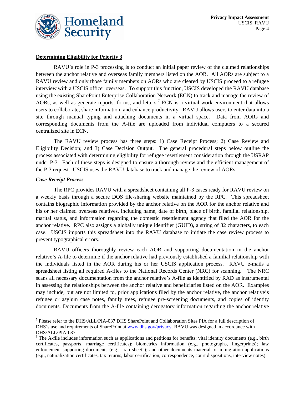

#### **Determining Eligibility for Priority 3**

RAVU's role in P-3 processing is to conduct an initial paper review of the claimed relationships between the anchor relative and overseas family members listed on the AOR. All AORs are subject to a RAVU review and only those family members on AORs who are cleared by USCIS proceed to a refugee interview with a USCIS officer overseas. To support this function, USCIS developed the RAVU database using the existing SharePoint Enterprise Collaboration Network (ECN) to track and manage the review of AORs, as well as generate reports, forms, and letters.<sup>[7](#page-4-0)</sup> ECN is a virtual work environment that allows users to collaborate, share information, and enhance productivity. RAVU allows users to enter data into a site through manual typing and attaching documents in a virtual space. Data from AORs and corresponding documents from the A-file are uploaded from individual computers to a secured centralized site in ECN.

The RAVU review process has three steps: 1) Case Receipt Process; 2) Case Review and Eligibility Decision; and 3) Case Decision Output. The general procedural steps below outline the process associated with determining eligibility for refugee resettlement consideration through the USRAP under P-3. Each of these steps is designed to ensure a thorough review and the efficient management of the P-3 request. USCIS uses the RAVU database to track and manage the review of AORs.

#### *Case Receipt Process*

The RPC provides RAVU with a spreadsheet containing all P-3 cases ready for RAVU review on a weekly basis through a secure DOS file-sharing website maintained by the RPC. This spreadsheet contains biographic information provided by the anchor relative on the AOR for the anchor relative and his or her claimed overseas relatives, including name, date of birth, place of birth, familial relationship, marital status, and information regarding the domestic resettlement agency that filed the AOR for the anchor relative. RPC also assigns a globally unique identifier (GUID), a string of 32 characters, to each case. USCIS imports this spreadsheet into the RAVU database to initiate the case review process to prevent typographical errors.

RAVU officers thoroughly review each AOR and supporting documentation in the anchor relative's A-file to determine if the anchor relative had previously established a familial relationship with the individuals listed in the AOR during his or her USCIS application process. RAVU e-mails a spreadsheet listing all required A-files to the National Records Center (NRC) for scanning.<sup>[8](#page-4-1)</sup> The NRC scans all necessary documentation from the anchor relative's A-file as identified by RAD as instrumental in assessing the relationships between the anchor relative and beneficiaries listed on the AOR. Examples may include, but are not limited to, prior applications filed by the anchor relative, the anchor relative's refugee or asylum case notes, family trees, refugee pre-screening documents, and copies of identity documents. Documents from the A-file containing derogatory information regarding the anchor relative

<span id="page-4-0"></span> <sup>7</sup> Please refer to the DHS/ALL/PIA-037 DHS SharePoint and Collaboration Sites PIA for a full description of DHS's use and requirements of SharePoint at [www.dhs.gov/privacy.](http://www.dhs.gov/privacy) RAVU was designed in accordance with DHS/ALL/PIA-037.<br><sup>8</sup> The A-file includes information such as applications and petitions for benefits; vital identity documents (e.g., birth

<span id="page-4-1"></span>certificates, passports, marriage certificates); biometrics information (e.g., photographs, fingerprints); law enforcement supporting documents (e.g., "rap sheet"); and other documents material to immigration applications (e.g., naturalization certificates, tax returns, labor certification, correspondence, court dispositions, interview notes).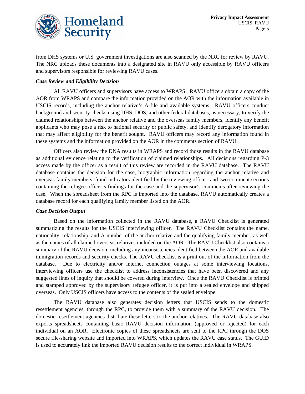

from DHS systems or U.S. government investigations are also scanned by the NRC for review by RAVU. The NRC uploads these documents into a designated site in RAVU only accessible by RAVU officers and supervisors responsible for reviewing RAVU cases.

#### *Case Review and Eligibility Decision*

All RAVU officers and supervisors have access to WRAPS. RAVU officers obtain a copy of the AOR from WRAPS and compare the information provided on the AOR with the information available in USCIS records, including the anchor relative's A-file and available systems. RAVU officers conduct background and security checks using DHS, DOS, and other federal databases, as necessary, to verify the claimed relationships between the anchor relative and the overseas family members, identify any benefit applicants who may pose a risk to national security or public safety, and identify derogatory information that may affect eligibility for the benefit sought. RAVU officers may record any information found in these systems and the information provided on the AOR in the comments section of RAVU.

Officers also review the DNA results in WRAPS and record those results in the RAVU database as additional evidence relating to the verification of claimed relationships. All decisions regarding P-3 access made by the officer as a result of this review are recorded in the RAVU database. The RAVU database contains the decision for the case, biographic information regarding the anchor relative and overseas family members, fraud indicators identified by the reviewing officer, and two comment sections containing the refugee officer's findings for the case and the supervisor's comments after reviewing the case. When the spreadsheet from the RPC is imported into the database, RAVU automatically creates a database record for each qualifying family member listed on the AOR.

#### *Case Decision Output*

Based on the information collected in the RAVU database, a RAVU Checklist is generated summarizing the results for the USCIS interviewing officer. The RAVU Checklist contains the name, nationality, relationship, and A-number of the anchor relative and the qualifying family member, as well as the names of all claimed overseas relatives included on the AOR. The RAVU Checklist also contains a summary of the RAVU decision, including any inconsistencies identified between the AOR and available immigration records and security checks. The RAVU checklist is a print out of the information from the database. Due to electricity and/or internet connection outages at some interviewing locations, interviewing officers use the checklist to address inconsistencies that have been discovered and any suggested lines of inquiry that should be covered during interview. Once the RAVU Checklist is printed and stamped approved by the supervisory refugee officer, it is put into a sealed envelope and shipped overseas. Only USCIS officers have access to the contents of the sealed envelope.

The RAVU database also generates decision letters that USCIS sends to the domestic resettlement agencies, through the RPC, to provide them with a summary of the RAVU decision. The domestic resettlement agencies distribute these letters to the anchor relatives. The RAVU database also exports spreadsheets containing basic RAVU decision information (approved or rejected) for each individual on an AOR. Electronic copies of these spreadsheets are sent to the RPC through the DOS secure file-sharing website and imported into WRAPS, which updates the RAVU case status. The GUID is used to accurately link the imported RAVU decision results to the correct individual in WRAPS.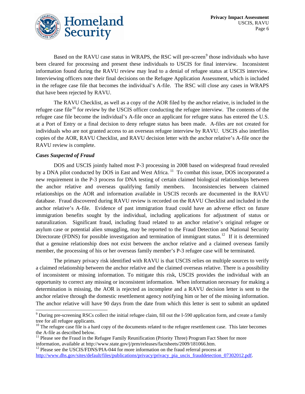

Based on the RAVU case status in WRAPS, the RSC will pre-screen<sup>[9](#page-6-0)</sup> those individuals who have been cleared for processing and present these individuals to USCIS for final interview. Inconsistent information found during the RAVU review may lead to a denial of refugee status at USCIS interview. Interviewing officers note their final decisions on the Refugee Application Assessment, which is included in the refugee case file that becomes the individual's A-file. The RSC will close any cases in WRAPS that have been rejected by RAVU.

The RAVU Checklist, as well as a copy of the AOR filed by the anchor relative, is included in the refugee case file<sup>[10](#page-6-1)</sup> for review by the USCIS officer conducting the refugee interview. The contents of the refugee case file become the individual's A-file once an applicant for refugee status has entered the U.S. at a Port of Entry or a final decision to deny refugee status has been made. A-files are not created for individuals who are not granted access to an overseas refugee interview by RAVU. USCIS also interfiles copies of the AOR, RAVU Checklist, and RAVU decision letter with the anchor relative's A-file once the RAVU review is complete.

#### *Cases Suspected of Fraud*

DOS and USCIS jointly halted most P-3 processing in 2008 based on widespread fraud revealed by a DNA pilot conducted by DOS in East and West Africa.<sup>[11](#page-6-2)</sup> To combat this issue, DOS incorporated a new requirement in the P-3 process for DNA testing of certain claimed biological relationships between the anchor relative and overseas qualifying family members. Inconsistencies between claimed relationships on the AOR and information available in USCIS records are documented in the RAVU database. Fraud discovered during RAVU review is recorded on the RAVU Checklist and included in the anchor relative's A-file. Evidence of past immigration fraud could have an adverse effect on future immigration benefits sought by the individual, including applications for adjustment of status or naturalization. Significant fraud, including fraud related to an anchor relative's original refugee or asylum case or potential alien smuggling, may be reported to the Fraud Detection and National Security Directorate (FDNS) for possible investigation and termination of immigrant status.<sup>12</sup> If it is determined that a genuine relationship does not exist between the anchor relative and a claimed overseas family member, the processing of his or her overseas family member's P-3 refugee case will be terminated.

The primary privacy risk identified with RAVU is that USCIS relies on multiple sources to verify a claimed relationship between the anchor relative and the claimed overseas relative. There is a possibility of inconsistent or missing information. To mitigate this risk, USCIS provides the individual with an opportunity to correct any missing or inconsistent information. When information necessary for making a determination is missing, the AOR is rejected as incomplete and a RAVU decision letter is sent to the anchor relative through the domestic resettlement agency notifying him or her of the missing information. The anchor relative will have 90 days from the date from which this letter is sent to submit an updated

<span id="page-6-0"></span> <sup>9</sup> During pre-screening RSCs collect the initial refugee claim, fill out the I-590 application form, and create a family

<span id="page-6-1"></span>tree for all refugee applicants.<br><sup>10</sup> The refugee case file is a hard copy of the documents related to the refugee resettlement case. This later becomes<br>the A-file as described below.

<span id="page-6-2"></span> $11$  Please see the Fraud in the Refugee Family Reunification (Priority Three) Program Fact Sheet for more information, available at http://www.state.gov/j/prm/releases/factsheets/2009/181066.htm.<br><sup>12</sup> Please see the USCIS/FDNS/PIA-044 for more information on the fraud referral process at

<span id="page-6-3"></span>[http://www.dhs.gov/sites/default/files/publications/privacy/privacy\\_pia\\_uscis\\_frauddetection\\_07302012.pdf.](http://www.dhs.gov/sites/default/files/publications/privacy/privacy_pia_uscis_frauddetection_07302012.pdf)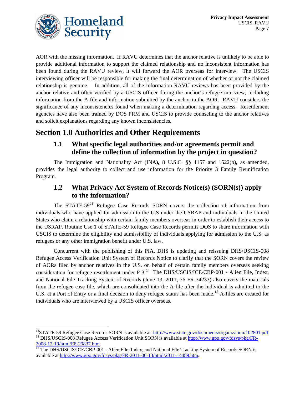

AOR with the missing information. If RAVU determines that the anchor relative is unlikely to be able to provide additional information to support the claimed relationship and no inconsistent information has been found during the RAVU review, it will forward the AOR overseas for interview. The USCIS interviewing officer will be responsible for making the final determination of whether or not the claimed relationship is genuine. In addition, all of the information RAVU reviews has been provided by the anchor relative and often verified by a USCIS officer during the anchor's refugee interview, including information from the A-file and information submitted by the anchor in the AOR. RAVU considers the significance of any inconsistencies found when making a determination regarding access. Resettlement agencies have also been trained by DOS PRM and USCIS to provide counseling to the anchor relatives and solicit explanations regarding any known inconsistencies.

# **Section 1.0 Authorities and Other Requirements**

#### **1.1 What specific legal authorities and/or agreements permit and define the collection of information by the project in question?**

The Immigration and Nationality Act (INA), 8 U.S.C. §§ 1157 and 1522(b), as amended, provides the legal authority to collect and use information for the Priority 3 Family Reunification Program.

#### **1.2 What Privacy Act System of Records Notice(s) (SORN(s)) apply to the information?**

The STATE-59<sup>[13](#page-7-0)</sup> Refugee Case Records SORN covers the collection of information from individuals who have applied for admission to the U.S under the USRAP and individuals in the United States who claim a relationship with certain family members overseas in order to establish their access to the USRAP. Routine Use 1 of STATE-59 Refugee Case Records permits DOS to share information with USCIS to determine the eligibility and admissibility of individuals applying for admission to the U.S. as refugees or any other immigration benefit under U.S. law.

Concurrent with the publishing of this PIA, DHS is updating and reissuing DHS/USCIS-008 Refugee Access Verification Unit System of Records Notice to clarify that the SORN covers the review of AORs filed by anchor relatives in the U.S. on behalf of certain family members overseas seeking consideration for refugee resettlement under  $P - 3$ .<sup>[14](#page-7-1)</sup> The DHS/USCIS/ICE/CBP-001 - Alien File, Index, and National File Tracking System of Records (June 13, 2011, 76 FR 34233) also covers the materials from the refugee case file, which are consolidated into the A-file after the individual is admitted to the U.S. at a Port of Entry or a final decision to deny refugee status has been made.<sup>[15](#page-7-2)</sup> A-files are created for individuals who are interviewed by a USCIS officer overseas.

<span id="page-7-1"></span><span id="page-7-0"></span><sup>&</sup>lt;sup>13</sup>STATE-59 Refugee Case Records SORN is available at  $\frac{http://www.state.gov/documents/organization/102801.pdf}{\text{DHS/USCIS-008} }$  Refugee Access Verification Unit SORN is available at  $\frac{http://www.gpo.gov/fdsys/pkg/FR-2008-12-19/http://www.gpo.gov/fdsys/pkg/FR-2008-12-19/http://www.gpo.gov/fdsys/pkg/FR-2008-$ 

<span id="page-7-2"></span> $\frac{2000 \text{ Hz}}{15}$  $\frac{2000 \text{ Hz}}{15}$  $\frac{2000 \text{ Hz}}{15}$  The DHS/USCIS/ICE/CBP-001 - Alien File, Index, and National File Tracking System of Records SORN is available at [http://www.gpo.gov/fdsys/pkg/FR-2011-06-13/html/2011-14489.htm.](http://www.gpo.gov/fdsys/pkg/FR-2011-06-13/html/2011-14489.htm)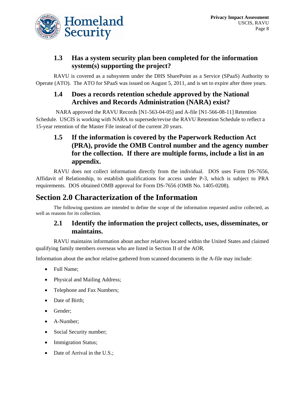

#### **1.3 Has a system security plan been completed for the information system(s) supporting the project?**

RAVU is covered as a subsystem under the DHS SharePoint as a Service (SPaaS) Authority to Operate (ATO). The ATO for SPaaS was issued on August 5, 2011, and is set to expire after three years.

#### **1.4 Does a records retention schedule approved by the National Archives and Records Administration (NARA) exist?**

NARA approved the RAVU Records [N1-563-04-05] and A-file [N1-566-08-11] Retention Schedule. USCIS is working with NARA to supersede/revise the RAVU Retention Schedule to reflect a 15-year retention of the Master File instead of the current 20 years.

#### **1.5 If the information is covered by the Paperwork Reduction Act (PRA), provide the OMB Control number and the agency number for the collection. If there are multiple forms, include a list in an appendix.**

RAVU does not collect information directly from the individual. DOS uses Form DS-7656, Affidavit of Relationship, to establish qualifications for access under P-3, which is subject to PRA requirements. DOS obtained OMB approval for Form DS-7656 (OMB No. 1405-0208).

## **Section 2.0 Characterization of the Information**

The following questions are intended to define the scope of the information requested and/or collected, as well as reasons for its collection.

#### **2.1 Identify the information the project collects, uses, disseminates, or maintains.**

RAVU maintains information about anchor relatives located within the United States and claimed qualifying family members overseas who are listed in Section II of the AOR.

Information about the anchor relative gathered from scanned documents in the A-file may include:

- Full Name;
- Physical and Mailing Address;
- Telephone and Fax Numbers;
- Date of Birth;
- Gender;
- A-Number;
- Social Security number;
- **Immigration Status;**
- Date of Arrival in the U.S.;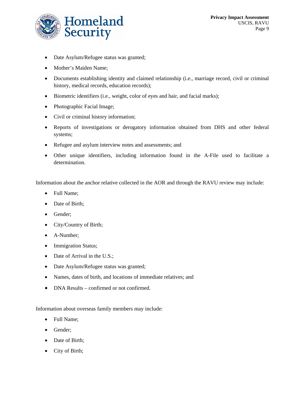

- Date Asylum/Refugee status was granted;
- Mother's Maiden Name;
- Documents establishing identity and claimed relationship (i.e., marriage record, civil or criminal history, medical records, education records);
- Biometric identifiers (i.e., weight, color of eyes and hair, and facial marks);
- Photographic Facial Image;
- Civil or criminal history information;
- Reports of investigations or derogatory information obtained from DHS and other federal systems;
- Refugee and asylum interview notes and assessments; and
- Other unique identifiers, including information found in the A-File used to facilitate a determination.

Information about the anchor relative collected in the AOR and through the RAVU review may include:

- Full Name;
- Date of Birth;
- Gender;
- City/Country of Birth;
- A-Number;
- Immigration Status;
- Date of Arrival in the U.S.;
- Date Asylum/Refugee status was granted;
- Names, dates of birth, and locations of immediate relatives; and
- DNA Results confirmed or not confirmed.

Information about overseas family members may include:

- Full Name;
- Gender;
- Date of Birth;
- City of Birth;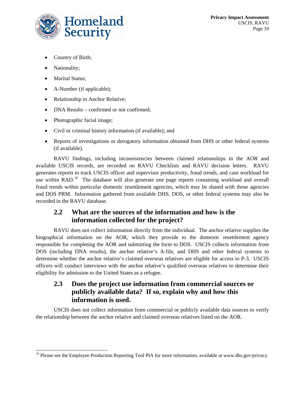

- Country of Birth;
- Nationality;
- Marital Status;
- A-Number (if applicable);
- Relationship to Anchor Relative;
- DNA Results confirmed or not confirmed;
- Photographic facial image;
- Civil or criminal history information (if available); and
- Reports of investigations or derogatory information obtained from DHS or other federal systems (if available).

RAVU findings, including inconsistencies between claimed relationships in the AOR and available USCIS records, are recorded on RAVU Checklists and RAVU decision letters. RAVU generates reports to track USCIS officer and supervisor productivity, fraud trends, and case workload for use within RAD.<sup>[16](#page-10-0)</sup> The database will also generate one page reports containing workload and overall fraud trends within particular domestic resettlement agencies, which may be shared with those agencies and DOS PRM. Information gathered from available DHS, DOS, or other federal systems may also be recorded in the RAVU database.

#### **2.2 What are the sources of the information and how is the information collected for the project?**

RAVU does not collect information directly from the individual. The anchor relative supplies the biographical information on the AOR, which they provide to the domestic resettlement agency responsible for completing the AOR and submitting the form to DOS. USCIS collects information from DOS (including DNA results), the anchor relative's A-file, and DHS and other federal systems to determine whether the anchor relative's claimed overseas relatives are eligible for access to P-3. USCIS officers will conduct interviews with the anchor relative's qualified overseas relatives to determine their eligibility for admission to the United States as a refugee.

#### **2.3 Does the project use information from commercial sources or publicly available data? If so, explain why and how this information is used.**

USCIS does not collect information from commercial or publicly available data sources to verify the relationship between the anchor relative and claimed overseas relatives listed on the AOR.

<span id="page-10-0"></span><sup>&</sup>lt;sup>16</sup> Please see the Employee Production Reporting Tool PIA for more information, available at www.dhs.gov/privacy.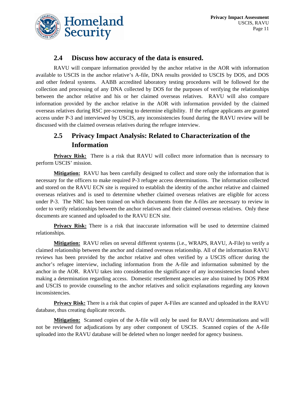

#### **2.4 Discuss how accuracy of the data is ensured.**

RAVU will compare information provided by the anchor relative in the AOR with information available to USCIS in the anchor relative's A-file, DNA results provided to USCIS by DOS, and DOS and other federal systems. AABB accredited laboratory testing procedures will be followed for the collection and processing of any DNA collected by DOS for the purposes of verifying the relationships between the anchor relative and his or her claimed overseas relatives. RAVU will also compare information provided by the anchor relative in the AOR with information provided by the claimed overseas relatives during RSC pre-screening to determine eligibility. If the refugee applicants are granted access under P-3 and interviewed by USCIS, any inconsistencies found during the RAVU review will be discussed with the claimed overseas relatives during the refugee interview.

## **2.5 Privacy Impact Analysis: Related to Characterization of the Information**

**Privacy Risk:** There is a risk that RAVU will collect more information than is necessary to perform USCIS' mission.

**Mitigation:** RAVU has been carefully designed to collect and store only the information that is necessary for the officers to make required P-3 refugee access determinations. The information collected and stored on the RAVU ECN site is required to establish the identity of the anchor relative and claimed overseas relatives and is used to determine whether claimed overseas relatives are eligible for access under P-3. The NRC has been trained on which documents from the A-files are necessary to review in order to verify relationships between the anchor relatives and their claimed overseas relatives. Only these documents are scanned and uploaded to the RAVU ECN site.

**Privacy Risk:** There is a risk that inaccurate information will be used to determine claimed relationships.

**Mitigation:** RAVU relies on several different systems (i.e., WRAPS, RAVU, A-File) to verify a claimed relationship between the anchor and claimed overseas relationship. All of the information RAVU reviews has been provided by the anchor relative and often verified by a USCIS officer during the anchor's refugee interview, including information from the A-file and information submitted by the anchor in the AOR. RAVU takes into consideration the significance of any inconsistencies found when making a determination regarding access. Domestic resettlement agencies are also trained by DOS PRM and USCIS to provide counseling to the anchor relatives and solicit explanations regarding any known inconsistencies.

**Privacy Risk:** There is a risk that copies of paper A-Files are scanned and uploaded in the RAVU database, thus creating duplicate records.

Mitigation: Scanned copies of the A-file will only be used for RAVU determinations and will not be reviewed for adjudications by any other component of USCIS. Scanned copies of the A-file uploaded into the RAVU database will be deleted when no longer needed for agency business.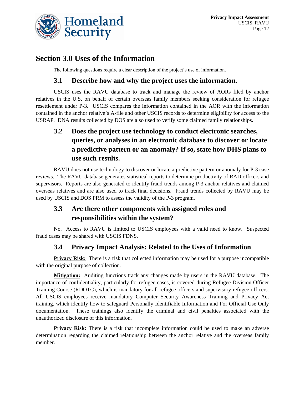

## **Section 3.0 Uses of the Information**

The following questions require a clear description of the project's use of information.

#### **3.1 Describe how and why the project uses the information.**

USCIS uses the RAVU database to track and manage the review of AORs filed by anchor relatives in the U.S. on behalf of certain overseas family members seeking consideration for refugee resettlement under P-3. USCIS compares the information contained in the AOR with the information contained in the anchor relative's A-file and other USCIS records to determine eligibility for access to the USRAP. DNA results collected by DOS are also used to verify some claimed family relationships.

## **3.2 Does the project use technology to conduct electronic searches, queries, or analyses in an electronic database to discover or locate a predictive pattern or an anomaly? If so, state how DHS plans to use such results.**

RAVU does not use technology to discover or locate a predictive pattern or anomaly for P-3 case reviews. The RAVU database generates statistical reports to determine productivity of RAD officers and supervisors. Reports are also generated to identify fraud trends among P-3 anchor relatives and claimed overseas relatives and are also used to track final decisions. Fraud trends collected by RAVU may be used by USCIS and DOS PRM to assess the validity of the P-3 program.

## **3.3 Are there other components with assigned roles and responsibilities within the system?**

No. Access to RAVU is limited to USCIS employees with a valid need to know. Suspected fraud cases may be shared with USCIS FDNS.

#### **3.4 Privacy Impact Analysis: Related to the Uses of Information**

**Privacy Risk:** There is a risk that collected information may be used for a purpose incompatible with the original purpose of collection.

**Mitigation:** Auditing functions track any changes made by users in the RAVU database. The importance of confidentiality, particularly for refugee cases, is covered during Refugee Division Officer Training Course (RDOTC), which is mandatory for all refugee officers and supervisory refugee officers. All USCIS employees receive mandatory Computer Security Awareness Training and Privacy Act training, which identify how to safeguard Personally Identifiable Information and For Official Use Only documentation. These trainings also identify the criminal and civil penalties associated with the unauthorized disclosure of this information.

**Privacy Risk:** There is a risk that incomplete information could be used to make an adverse determination regarding the claimed relationship between the anchor relative and the overseas family member.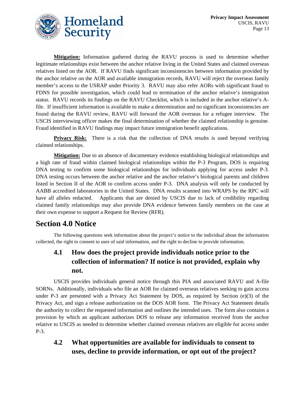

**Mitigation:** Information gathered during the RAVU process is used to determine whether legitimate relationships exist between the anchor relative living in the United States and claimed overseas relatives listed on the AOR. If RAVU finds significant inconsistencies between information provided by the anchor relative on the AOR and available immigration records, RAVU will reject the overseas family member's access to the USRAP under Priority 3. RAVU may also refer AORs with significant fraud to FDNS for possible investigation, which could lead to termination of the anchor relative's immigration status. RAVU records its findings on the RAVU Checklist, which is included in the anchor relative's Afile. If insufficient information is available to make a determination and no significant inconsistencies are found during the RAVU review, RAVU will forward the AOR overseas for a refugee interview. The USCIS interviewing officer makes the final determination of whether the claimed relationship is genuine. Fraud identified in RAVU findings may impact future immigration benefit applications.

**Privacy Risk:** There is a risk that the collection of DNA results is used beyond verifying claimed relationships.

**Mitigation:** Due to an absence of documentary evidence establishing biological relationships and a high rate of fraud within claimed biological relationships within the P-3 Program, DOS is requiring DNA testing to confirm some biological relationships for individuals applying for access under P-3. DNA testing occurs between the anchor relative and the anchor relative's biological parents and children listed in Section II of the AOR to confirm access under P-3. DNA analysis will only be conducted by AABB accredited laboratories in the United States. DNA results scanned into WRAPS by the RPC will have all alleles redacted. Applicants that are denied by USCIS due to lack of credibility regarding claimed family relationships may also provide DNA evidence between family members on the case at their own expense to support a Request for Review (RFR).

## **Section 4.0 Notice**

The following questions seek information about the project's notice to the individual about the information collected, the right to consent to uses of said information, and the right to decline to provide information.

## **4.1 How does the project provide individuals notice prior to the collection of information? If notice is not provided, explain why not.**

USCIS provides individuals general notice through this PIA and associated RAVU and A-file SORNs. Additionally, individuals who file an AOR for claimed overseas relatives seeking to gain access under P-3 are presented with a Privacy Act Statement by DOS, as required by Section (e)(3) of the Privacy Act, and sign a release authorization on the DOS AOR form. The Privacy Act Statement details the authority to collect the requested information and outlines the intended uses. The form also contains a provision by which an applicant authorizes DOS to release any information received from the anchor relative to USCIS as needed to determine whether claimed overseas relatives are eligible for access under P-3.

## **4.2 What opportunities are available for individuals to consent to uses, decline to provide information, or opt out of the project?**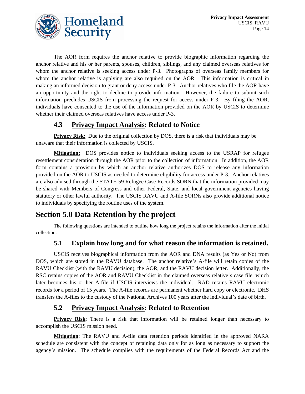

The AOR form requires the anchor relative to provide biographic information regarding the anchor relative and his or her parents, spouses, children, siblings, and any claimed overseas relatives for whom the anchor relative is seeking access under P-3. Photographs of overseas family members for whom the anchor relative is applying are also required on the AOR. This information is critical in making an informed decision to grant or deny access under P-3. Anchor relatives who file the AOR have an opportunity and the right to decline to provide information. However, the failure to submit such information precludes USCIS from processing the request for access under P-3. By filing the AOR, individuals have consented to the use of the information provided on the AOR by USCIS to determine whether their claimed overseas relatives have access under P-3.

#### **4.3 Privacy Impact Analysis: Related to Notice**

**Privacy Risk:** Due to the original collection by DOS, there is a risk that individuals may be unaware that their information is collected by USCIS.

**Mitigation:** DOS provides notice to individuals seeking access to the USRAP for refugee resettlement consideration through the AOR prior to the collection of information. In addition, the AOR form contains a provision by which an anchor relative authorizes DOS to release any information provided on the AOR to USCIS as needed to determine eligibility for access under P-3. Anchor relatives are also advised through the STATE-59 Refugee Case Records SORN that the information provided may be shared with Members of Congress and other Federal, State, and local government agencies having statutory or other lawful authority. The USCIS RAVU and A-file SORNs also provide additional notice to individuals by specifying the routine uses of the system.

# **Section 5.0 Data Retention by the project**

The following questions are intended to outline how long the project retains the information after the initial collection.

## **5.1 Explain how long and for what reason the information is retained.**

USCIS receives biographical information from the AOR and DNA results (as Yes or No) from DOS, which are stored in the RAVU database. The anchor relative's A-file will retain copies of the RAVU Checklist (with the RAVU decision), the AOR, and the RAVU decision letter. Additionally, the RSC retains copies of the AOR and RAVU Checklist in the claimed overseas relative's case file, which later becomes his or her A-file if USCIS interviews the individual. RAD retains RAVU electronic records for a period of 15 years. The A-file records are permanent whether hard copy or electronic. DHS transfers the A-files to the custody of the National Archives 100 years after the individual's date of birth.

## **5.2 Privacy Impact Analysis: Related to Retention**

**Privacy Risk**: There is a risk that information will be retained longer than necessary to accomplish the USCIS mission need.

**Mitigation**: The RAVU and A-file data retention periods identified in the approved NARA schedule are consistent with the concept of retaining data only for as long as necessary to support the agency's mission. The schedule complies with the requirements of the Federal Records Act and the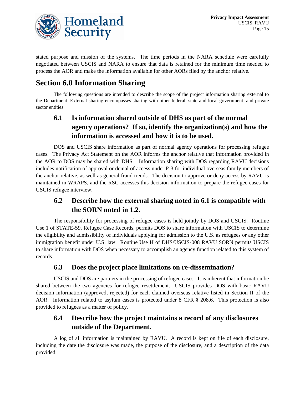

stated purpose and mission of the systems. The time periods in the NARA schedule were carefully negotiated between USCIS and NARA to ensure that data is retained for the minimum time needed to process the AOR and make the information available for other AORs filed by the anchor relative.

# **Section 6.0 Information Sharing**

The following questions are intended to describe the scope of the project information sharing external to the Department. External sharing encompasses sharing with other federal, state and local government, and private sector entities.

## **6.1 Is information shared outside of DHS as part of the normal agency operations? If so, identify the organization(s) and how the information is accessed and how it is to be used.**

DOS and USCIS share information as part of normal agency operations for processing refugee cases. The Privacy Act Statement on the AOR informs the anchor relative that information provided in the AOR to DOS may be shared with DHS. Information sharing with DOS regarding RAVU decisions includes notification of approval or denial of access under P-3 for individual overseas family members of the anchor relative, as well as general fraud trends. The decision to approve or deny access by RAVU is maintained in WRAPS, and the RSC accesses this decision information to prepare the refugee cases for USCIS refugee interview.

## **6.2 Describe how the external sharing noted in 6.1 is compatible with the SORN noted in 1.2.**

The responsibility for processing of refugee cases is held jointly by DOS and USCIS. Routine Use 1 of STATE-59, Refugee Case Records, permits DOS to share information with USCIS to determine the eligibility and admissibility of individuals applying for admission to the U.S. as refugees or any other immigration benefit under U.S. law. Routine Use H of DHS/USCIS-008 RAVU SORN permits USCIS to share information with DOS when necessary to accomplish an agency function related to this system of records.

#### **6.3 Does the project place limitations on re-dissemination?**

USCIS and DOS are partners in the processing of refugee cases. It is inherent that information be shared between the two agencies for refugee resettlement. USCIS provides DOS with basic RAVU decision information (approved, rejected) for each claimed overseas relative listed in Section II of the AOR. Information related to asylum cases is protected under 8 CFR § 208.6. This protection is also provided to refugees as a matter of policy.

## **6.4 Describe how the project maintains a record of any disclosures outside of the Department.**

A log of all information is maintained by RAVU. A record is kept on file of each disclosure, including the date the disclosure was made, the purpose of the disclosure, and a description of the data provided.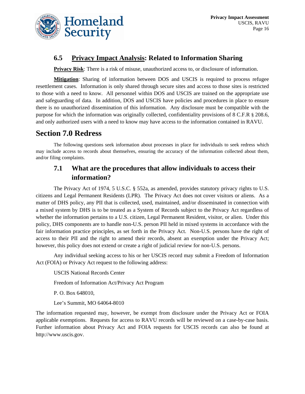

#### **6.5 Privacy Impact Analysis: Related to Information Sharing**

**Privacy Risk**: There is a risk of misuse, unauthorized access to, or disclosure of information.

**Mitigation**: Sharing of information between DOS and USCIS is required to process refugee resettlement cases. Information is only shared through secure sites and access to those sites is restricted to those with a need to know. All personnel within DOS and USCIS are trained on the appropriate use and safeguarding of data. In addition, DOS and USCIS have policies and procedures in place to ensure there is no unauthorized dissemination of this information. Any disclosure must be compatible with the purpose for which the information was originally collected, confidentiality provisions of 8 C.F.R § 208.6, and only authorized users with a need to know may have access to the information contained in RAVU.

# **Section 7.0 Redress**

The following questions seek information about processes in place for individuals to seek redress which may include access to records about themselves, ensuring the accuracy of the information collected about them, and/or filing complaints.

## **7.1 What are the procedures that allow individuals to access their information?**

The Privacy Act of 1974, 5 U.S.C. § 552a, as amended, provides statutory privacy rights to U.S. citizens and Legal Permanent Residents (LPR). The Privacy Act does not cover visitors or aliens. As a matter of DHS policy, any PII that is collected, used, maintained, and/or disseminated in connection with a mixed system by DHS is to be treated as a System of Records subject to the Privacy Act regardless of whether the information pertains to a U.S. citizen, Legal Permanent Resident, visitor, or alien. Under this policy, DHS components are to handle non-U.S. person PII held in mixed systems in accordance with the fair information practice principles, as set forth in the Privacy Act. Non-U.S. persons have the right of access to their PII and the right to amend their records, absent an exemption under the Privacy Act; however, this policy does not extend or create a right of judicial review for non-U.S. persons.

Any individual seeking access to his or her USCIS record may submit a Freedom of Information Act (FOIA) or Privacy Act request to the following address:

USCIS National Records Center

Freedom of Information Act/Privacy Act Program

P. O. Box 648010,

Lee's Summit, MO 64064-8010

The information requested may, however, be exempt from disclosure under the Privacy Act or FOIA applicable exemptions. Requests for access to RAVU records will be reviewed on a case-by-case basis. Further information about Privacy Act and FOIA requests for USCIS records can also be found at http://www.uscis.gov.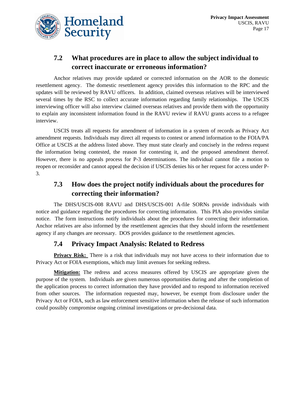

## **7.2 What procedures are in place to allow the subject individual to correct inaccurate or erroneous information?**

Anchor relatives may provide updated or corrected information on the AOR to the domestic resettlement agency. The domestic resettlement agency provides this information to the RPC and the updates will be reviewed by RAVU officers. In addition, claimed overseas relatives will be interviewed several times by the RSC to collect accurate information regarding family relationships. The USCIS interviewing officer will also interview claimed overseas relatives and provide them with the opportunity to explain any inconsistent information found in the RAVU review if RAVU grants access to a refugee interview.

USCIS treats all requests for amendment of information in a system of records as Privacy Act amendment requests. Individuals may direct all requests to contest or amend information to the FOIA/PA Office at USCIS at the address listed above. They must state clearly and concisely in the redress request the information being contested, the reason for contesting it, and the proposed amendment thereof. However, there is no appeals process for P-3 determinations. The individual cannot file a motion to reopen or reconsider and cannot appeal the decision if USCIS denies his or her request for access under P-3.

## **7.3 How does the project notify individuals about the procedures for correcting their information?**

The DHS/USCIS-008 RAVU and DHS/USCIS-001 A-file SORNs provide individuals with notice and guidance regarding the procedures for correcting information. This PIA also provides similar notice. The form instructions notify individuals about the procedures for correcting their information. Anchor relatives are also informed by the resettlement agencies that they should inform the resettlement agency if any changes are necessary. DOS provides guidance to the resettlement agencies.

#### **7.4 Privacy Impact Analysis: Related to Redress**

**Privacy Risk:** There is a risk that individuals may not have access to their information due to Privacy Act or FOIA exemptions, which may limit avenues for seeking redress.

**Mitigation:** The redress and access measures offered by USCIS are appropriate given the purpose of the system. Individuals are given numerous opportunities during and after the completion of the application process to correct information they have provided and to respond to information received from other sources. The information requested may, however, be exempt from disclosure under the Privacy Act or FOIA, such as law enforcement sensitive information when the release of such information could possibly compromise ongoing criminal investigations or pre-decisional data.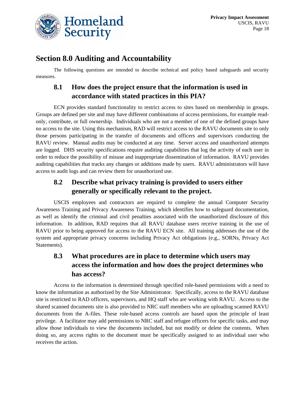

## **Section 8.0 Auditing and Accountability**

The following questions are intended to describe technical and policy based safeguards and security measures.

## **8.1 How does the project ensure that the information is used in accordance with stated practices in this PIA?**

ECN provides standard functionality to restrict access to sites based on membership in groups. Groups are defined per site and may have different combinations of access permissions, for example readonly, contribute, or full ownership. Individuals who are not a member of one of the defined groups have no access to the site. Using this mechanism, RAD will restrict access to the RAVU documents site to only those persons participating in the transfer of documents and officers and supervisors conducting the RAVU review. Manual audits may be conducted at any time. Server access and unauthorized attempts are logged. DHS security specifications require auditing capabilities that log the activity of each user in order to reduce the possibility of misuse and inappropriate dissemination of information. RAVU provides auditing capabilities that tracks any changes or additions made by users. RAVU administrators will have access to audit logs and can review them for unauthorized use.

#### **8.2 Describe what privacy training is provided to users either generally or specifically relevant to the project.**

USCIS employees and contractors are required to complete the annual Computer Security Awareness Training and Privacy Awareness Training, which identifies how to safeguard documentation, as well as identify the criminal and civil penalties associated with the unauthorized disclosure of this information. In addition, RAD requires that all RAVU database users receive training in the use of RAVU prior to being approved for access to the RAVU ECN site. All training addresses the use of the system and appropriate privacy concerns including Privacy Act obligations (e.g., SORNs, Privacy Act Statements).

## **8.3 What procedures are in place to determine which users may access the information and how does the project determines who has access?**

Access to the information is determined through specified role-based permissions with a need to know the information as authorized by the Site Administrator. Specifically, access to the RAVU database site is restricted to RAD officers, supervisors, and HQ staff who are working with RAVU. Access to the shared scanned documents site is also provided to NRC staff members who are uploading scanned RAVU documents from the A-files. These role-based access controls are based upon the principle of least privilege. A facilitator may add permissions to NRC staff and refugee officers for specific tasks, and may allow those individuals to view the documents included, but not modify or delete the contents. When doing so, any access rights to the document must be specifically assigned to an individual user who receives the action.